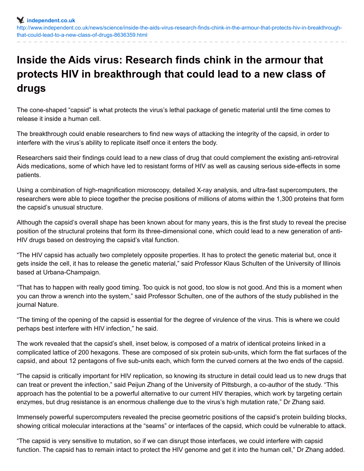## **Inside the Aids virus: Research finds chink in the armour that protects HIV in breakthrough that could lead to a new class of drugs**

The cone-shaped "capsid" is what protects the virus's lethal package of genetic material until the time comes to release it inside a human cell.

The breakthrough could enable researchers to find new ways of attacking the integrity of the capsid, in order to interfere with the virus's ability to replicate itself once it enters the body.

Researchers said their findings could lead to a new class of drug that could complement the existing anti-retroviral Aids medications, some of which have led to resistant forms of HIV as well as causing serious side-effects in some patients.

Using a combination of high-magnification microscopy, detailed X-ray analysis, and ultra-fast supercomputers, the researchers were able to piece together the precise positions of millions of atoms within the 1,300 proteins that form the capsid's unusual structure.

Although the capsid's overall shape has been known about for many years, this is the first study to reveal the precise position of the structural proteins that form its three-dimensional cone, which could lead to a new generation of anti-HIV drugs based on destroying the capsid's vital function.

"The HIV capsid has actually two completely opposite properties. It has to protect the genetic material but, once it gets inside the cell, it has to release the genetic material," said Professor Klaus Schulten of the University of Illinois based at Urbana-Champaign.

"That has to happen with really good timing. Too quick is not good, too slow is not good. And this is a moment when you can throw a wrench into the system," said Professor Schulten, one of the authors of the study published in the journal Nature.

"The timing of the opening of the capsid is essential for the degree of virulence of the virus. This is where we could perhaps best interfere with HIV infection," he said.

The work revealed that the capsid's shell, inset below, is composed of a matrix of identical proteins linked in a complicated lattice of 200 hexagons. These are composed of six protein sub-units, which form the flat surfaces of the capsid, and about 12 pentagons of five sub-units each, which form the curved corners at the two ends of the capsid.

"The capsid is critically important for HIV replication, so knowing its structure in detail could lead us to new drugs that can treat or prevent the infection," said Peijun Zhang of the University of Pittsburgh, a co-author of the study. "This approach has the potential to be a powerful alternative to our current HIV therapies, which work by targeting certain enzymes, but drug resistance is an enormous challenge due to the virus's high mutation rate," Dr Zhang said.

Immensely powerful supercomputers revealed the precise geometric positions of the capsid's protein building blocks, showing critical molecular interactions at the "seams" or interfaces of the capsid, which could be vulnerable to attack.

"The capsid is very sensitive to mutation, so if we can disrupt those interfaces, we could interfere with capsid function. The capsid has to remain intact to protect the HIV genome and get it into the human cell," Dr Zhang added.